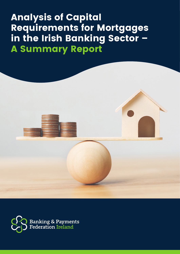# **Analysis of Capital Requirements for Mortgages in the Irish Banking Sector – A Summary Report**



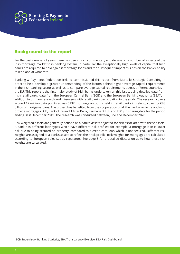

#### **Background to the report**

For the past number of years there has been much commentary and debate on a number of aspects of the Irish mortgage market/Irish banking system, in particular the exceptionally high levels of capital that Irish banks are required to hold against mortgage loans and the subsequent impact this has on the banks' ability to lend and at what rate.

Banking & Payments Federation Ireland commissioned this report from Martello Strategic Consulting in order to help develop a greater understanding of the factors behind higher average capital requirements in the Irish banking sector as well as to compare average capital requirements across different countries in the EU. This report is the first major study of Irish banks undertaken on this issue, using detailed data from Irish retail banks, data from the European Central Bank (ECB) and the European Banking Authority (EBA)<sup>1</sup>, in addition to primary research and interviews with retail banks participating in the study. The research covers around 12 million data points across 613K mortgage accounts held in retail banks in Ireland, covering €83 billion of mortgage loans. The project has benefited from the cooperation of all the five banks in Ireland who provide mortgages (AIB, Bank of Ireland, Ulster Bank, Permanent TSB and KBC), in sharing data for the period ending 31st December 2019. The research was conducted between June and December 2020.

Risk weighted assets are generally defined as a bank's assets adjusted for risk associated with these assets. A bank has different loan types which have different risk profiles; for example, a mortgage loan is lower risk due to being secured on property, compared to a credit card loan which is not secured. Different risk weights are assigned to a bank's assets to reflect their risk profile. Risk weights for mortgages are calculated according to European rules set by regulators. See page 8 for a detailed discussion as to how these risk weights are calculated.

<sup>1</sup> ECB Supervisory Banking Statistics, EBA Transparency Exercise, EBA Risk Dashboard.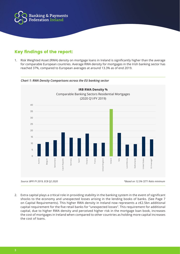

## **Key findings of the report:**

1. Risk Weighted Asset (RWA) density on mortgage loans in Ireland is significantly higher than the average for comparable European countries. Average RWA density for mortgages in the Irish banking sector has reached 37%, compared to European averages at around 13.3% as of end 2019.



*Chart 1: RWA Density Comparisons across the EU banking sector*

2. Extra capital plays a critical role in providing stability in the banking system in the event of significant shocks to the economy and unexpected losses arising in the lending books of banks. (See Page 7 on Capital Requirements). This higher RWA density in Ireland now represents a c€2.5bn additional capital requirement for the five retail banks for "unexpected losses". This requirement for additional capital, due to higher RWA density and perceived higher risk in the mortgage loan book, increases the cost of mortgages in Ireland when compared to other countries as holding more capital increases the cost of loans.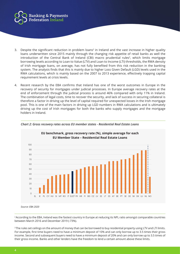

- 3. Despite the significant reduction in problem loans<sup>2</sup> in Ireland and the vast increase in higher quality loans underwritten since 2015 mainly through the changing risk appetite of retail banks as well the introduction of the Central Bank of Ireland (CBI) macro prudential rules<sup>3</sup>, which limits mortgage borrowing levels according to Loan to Value (LTV) and Loan to Income (LTI) thresholds, the RWA density of Irish mortgage loans, on average, has not fully benefited from this risk reduction in the banking system. The analysis finds that this is mainly due to higher Loss Given Default (LGD) levels used in the RWA calculations, which is mainly based on the 2007 to 2013 experience, effectively trapping capital requirement levels at crisis levels.
- 4. Recent research by the EBA confirms that Ireland has one of the worst outcomes in Europe in the recovery of security for mortgages under judicial processes. In Europe average recovery rates at the end of enforcement through the judicial process is around 46% compared with only 11% in Ireland. The combination of legal costs, time to recover the security, and lack of success in securing collateral is therefore a factor in driving up the level of capital required for unexpected losses in the Irish mortgage pool. This is one of the main factors in driving up LGD numbers in RWA calculations and is ultimately driving up the cost of Irish mortgages for both the banks who supply mortgages and the mortgage holders in Ireland.



*Chart 2: Gross recovery rates across EU member states - Residential Real Estate Loans*

*Source: EBA 2020*

<sup>2</sup> According to the EBA, Ireland was the fastest country in Europe at reducing its NPL ratio amongst comparable countries between March 2016 and December 2019 (-73%).

<sup>3</sup> The rules set ceilings on the amount of money that can be borrowed to buy residential property using LTV and LTI limits. For example, first time buyers need to have a minimum deposit of 10% and can only borrow up to 3.5 times their gross income. Second and subsequent buyers need to have a minimum deposit of 20% and can only borrow up to 3.5 times of their gross income. Banks and other lenders have the freedom to lend a certain amount above these limits.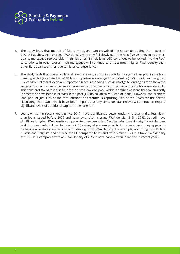

- 5. The study finds that models of future mortgage loan growth of the sector (excluding the impact of COVID-19), show that average RWA density may only fall slowly over the next five years even as betterquality mortgages replace older high-risk ones, if crisis level LGD continues to be locked into the RWA calculations. In other words, Irish mortgages will continue to attract much higher RWA density than other European countries due to historical experience.
- 6. The study finds that overall collateral levels are very strong in the total mortgage loan pool in the Irish banking sector (estimated at c€184 bn), supporting an average Loan to Value (LTV) of 47%, and weighted LTV of 61%. Collateral levels are important in secure lending such as mortgage lending as they show the value of the secured asset in case a bank needs to recover any unpaid amounts if a borrower defaults. This collateral strength is also true for the problem loan pool, which is defined as loans that are currently in arrears or have been in arrears in the past (€28bn collateral v €12bn of loans). However, the problem loan pool of just 13% of the total number of accounts is capturing 33% of the RWAs for the sector, illustrating that loans which have been impaired at any time, despite recovery, continue to require significant levels of additional capital in the long run.
- 7. Loans written in recent years (since 2017) have significantly better underlying quality (i.e. less risky) than loans issued before 2009 and have lower than average RWA density (31% v 37%), but still have significantly higher RWA density compared to other countries. Despite Ireland making significant changes and improvements in Loan to Income (LTI) ratios, when compared to European peers, they appear to be having a relatively limited impact in driving down RWA density. For example, according to ECB data Austria and Belgium lend at twice the LTI compared to Ireland, with similar LTVs, but have RWA density of 10% - 11% compared with an RWA Density of 29% in new loans written in Ireland in recent years.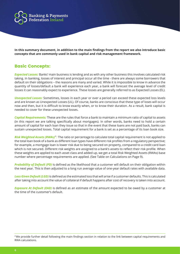

**In this summary document, in addition to the main findings from the report we also introduce basic concepts that are commonly used in bank capital and risk management framework.**

#### **Basic Concepts:**

*Expected Losses:* Banks' main business is lending and as with any other business this involves calculated risk taking. In banking, losses of interest and principal occur all the time - there are always some borrowers that default on their obligations – the reasons are many and varied. While it is impossible to know in advance the quantity of losses/default a bank will experience each year, a bank will forecast the average level of credit losses it can reasonably expect to experience. These losses are generally referred to as Expected Losses (EL).

*Unexpected Losses:* Sometimes, losses in each year or over a period can exceed these expected loss levels and are known as Unexpected Losses (UL). Of course, banks are conscious that these type of loses will occur now and then, but it is difficult to know exactly when, or to know their duration. As a result, bank capital is needed to cover for these unexpected losses.

*Capital Requirements:* These are the rules that force a bank to maintain a minimum ratio of capital to assets (in this report we are talking specifically about mortgages). In other words, banks need to hold a certain amount of capital for each loan they issue so that in the event that these loans are not paid back, banks can sustain unexpected losses. Total capital requirement for a bank is set as a percentage of its loan book size.

*Risk Weighted Assets (RWAs)<sup>4</sup>:* The ratio or percentage to calculate total capital requirement is not applied to the total loan book of a bank as different loan types have different risk profiles from a regulatory perspective; for example, a mortgage loan is lower risk due to being secured on property, compared to a credit card loan which is not secured. Different risk weights are assigned to a bank's assets to reflect their risk profile. When these weights are applied to each asset class and added up, we get a total Risk Weighted Assets (RWAs) base number where percentage requirements are applied. (See Table on Calculations on Page 9).

*Probability of Default (PD)* is defined as the likelihood that a customer will default on their obligation within the next year. This is then adjusted to a long run average value of one-year default rates with available data.

*Loss Given Default (LGD)* is defined as the estimated loss that will arise if a customer defaults. This is calculated after taking into account the value of collateral if default happens after cost of recovery is taken into account.

*Exposure At Default (EAD)* is defined as an estimate of the amount expected to be owed by a customer at the time of the customer's default.

<sup>4</sup>We provide further detail following the main findings section in relation to the link between capital requirements and RWA calculations.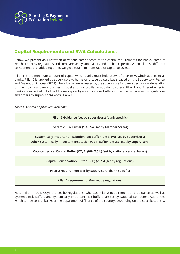

## **Capital Requirements and RWA Calculations:**

Below, we present an illustration of various components of the capital requirements for banks, some of which are set by regulations and some are set by supervisors and are bank specific. When all these different components are added together, we get a total minimum ratio of capital to assets.

Pillar 1 is the minimum amount of capital which banks must hold at 8% of their RWA which applies to all banks. Pillar 2 is applied by supervisors to banks on a case-by-case basis based on the Supervisory Review and Evaluation Process (SREP) where banks are assessed by the supervisors for bank specific risks depending on the individual bank's business model and risk profile. In addition to these Pillar 1 and 2 requirements, banks are expected to hold additional capital by way of various buffers some of which are set by regulations and others by supervisors/Central Banks.

#### *Table 1: Overall Capital Requirements*

| Pillar 2 Guidance (set by supervisors) (bank specific)                                                                                                                |
|-----------------------------------------------------------------------------------------------------------------------------------------------------------------------|
| Systemic Risk Buffer (1%-5%) (set by Member States)                                                                                                                   |
| Systemically Important Institution (SII) Buffer (0%-3.5%) (set by supervisors)<br>Other Systemically Important Institution (OSII) Buffer (0%-2%) (set by supervisors) |
| Countercyclical Capital Buffer (CCyB) (0%- 2.5%) (set by national central banks)                                                                                      |
| Capital Conservation Buffer (CCB) (2.5%) (set by regulations)                                                                                                         |
| Pillar 2 requirement (set by supervisors) (bank specific)                                                                                                             |
| Pillar 1 requirement (8%) (set by regulations)                                                                                                                        |

Note: Pillar 1, CCB, CCyB are set by regulations, whereas Pillar 2 Requirement and Guidance as well as Systemic Risk Buffers and Systemically Important Risk buffers are set by National Competent Authorities which can be central banks or the department of finance of the country, depending on the specific country.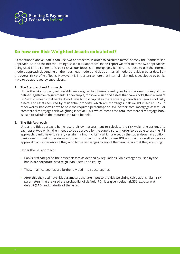

## **So how are Risk Weighted Assets calculated?**

As mentioned above, banks can use two approaches in order to calculate RWAs, namely the Standardised Approach (SA) and the Internal Ratings Based (IRB) approach. In this report we refer to these two approaches being used in the context of credit risk as our focus is on mortgages. Banks can choose to use the internal models approach depending on their business models and size as internal models provide greater detail on the overall risk profile of loans. However it is important to note that internal risk models developed by banks have to be approved by supervisors.

#### **1. The Standardised Approach**

Under the SA approach, risk weights are assigned to different asset types by supervisors by way of predefined legislative requirements. For example, for sovereign bond assets that banks hold, the risk weight is 0% which means that banks do not have to hold capital as these sovereign bonds are seen as not risky assets. For assets secured by residential property, which are mortgages, risk weight is set at 35%. In other words, banks will have to hold the required percentage on 35% of their total mortgage assets. For commercial mortgages risk weighting is set at 100% which means the total commercial mortgage book is used to calculate the required capital to be held.

#### **2. The IRB Approach**

 Under the IRB approach, banks use their own assessment to calculate the risk weighting assigned to each asset type which then needs to be approved by the supervisors. In order to be able to use the IRB approach, banks have to satisfy certain minimum criteria which are set by the supervisors. In addition, banks need to get supervisory approval in order to be able to use IRB approach as well as receive approval from supervisors if they wish to make changes to any of the parameters that they are using.

Under the IRB approach:

- Banks first categorise their asset classes as defined by regulations. Main categories used by the banks are corporate, sovereign, bank, retail and equity.
- These main categories are further divided into subcategories.
- After this they estimate risk parameters that are input to the risk weighting calculations. Main risk parameters that are used are probability of default (PD), loss given default (LGD), exposure at default (EAD) and maturity of the asset.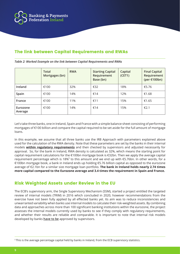

### **The link between Capital Requirements and RWAs**

|                     | Total<br>Mortgages (bn) | <b>RWA</b> | <b>Starting Capital</b><br>Requirement<br>Base (bn) | Capital<br>(CET1) | <b>Final Capital</b><br>Requirement<br>(per $€100bn$ ) |
|---------------------|-------------------------|------------|-----------------------------------------------------|-------------------|--------------------------------------------------------|
| Ireland             | €100                    | 32%        | €32                                                 | 18%               | €5.76                                                  |
| Spain               | €100                    | 14%        | €14                                                 | 12%               | €1.68                                                  |
| France              | €100                    | 11%        | €11                                                 | 15%               | €1.65                                                  |
| Eurozone<br>Average | €100                    | 14%        | €14                                                 | 15%               | €2.1                                                   |

*Table 2: Worked Example on the link between Capital Requirements and RWAs*

Let's take three banks, one in Ireland, Spain and France with a simple balance sheet consisting of performing mortgages of €100 billion and compare the capital required to be set aside for the full amount of mortgage loans.

In this example, we assume that all three banks use the IRB Approach with parameters explained above used for the calculation of the RWA density. Note that these parameters are set by the banks in their internal models **within regulatory requirements** and then checked by supervisors and adjusted necessarily for approval. So, for the bank in Ireland, RWA density is calculated as 32%, which means the starting point for capital requirement calculations for the €100bn mortgage book is €32bn. Then we apply the average capital requirement percentage which is 18%<sup>5</sup> to this amount and we end up with  $\epsilon$ 5.76bn. In other words, for a €100bn mortgage book, a bank in Ireland ends up holding €5.76 billion capital as opposed to the eurozone average of €2.1bn for a similar size mortgage loan portfolio. **The bank in Ireland holds nearly 2.74 times more capital compared to the Eurozone average and 3.4 times the requirement in Spain and France.**

#### **Risk Weighted Assets under Review in the EU**

The ECB's supervisory arm, the Single Supervisory Mechanism (SSM), started a project entitled the targeted review of internal models (TRIM) in 2016 which concluded in 2020, however recommendations from the exercise have not been fully applied by all effected banks yet. Its aim was to reduce inconsistencies and unwarranted variability when banks use internal models to calculate their risk-weighted assets. By combining data and approaches across more than 100 significant banking institutions within the eurozone, the project assesses the internal models currently used by banks to see if they comply with regulatory requirements, and whether their results are reliable and comparable. It is important to note that internal risk models developed by banks **have to be** approved by supervisors.

<sup>5</sup> This is the average percentage capital held by banks in Ireland, from the ECB supervisory statistics.